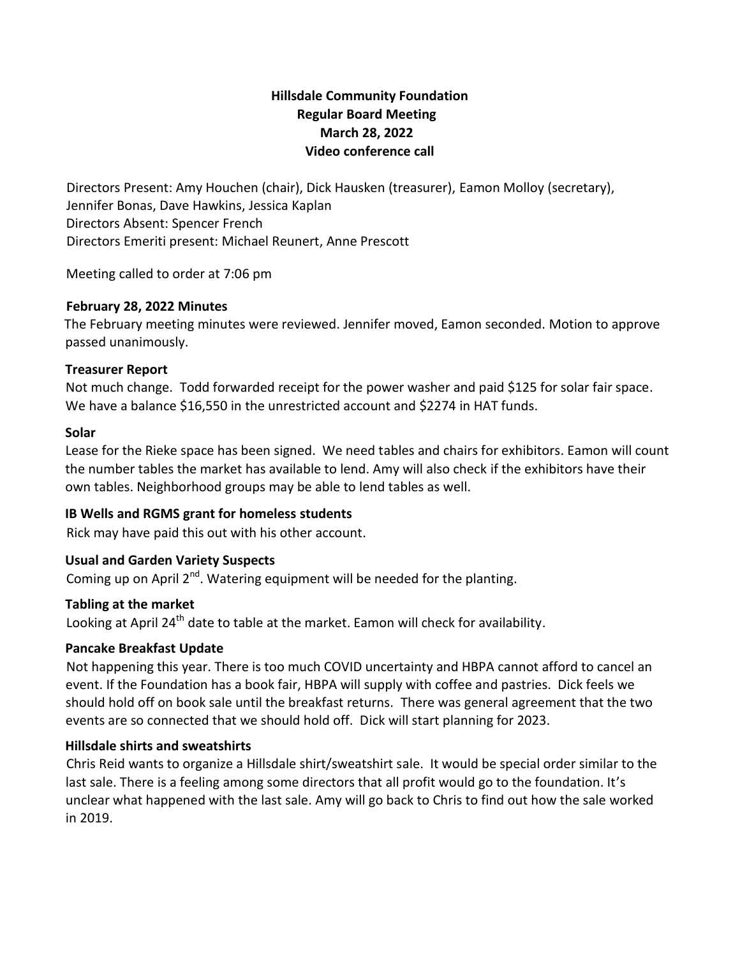# **Hillsdale Community Foundation Regular Board Meeting March 28, 2022 Video conference call**

Directors Present: Amy Houchen (chair), Dick Hausken (treasurer), Eamon Molloy (secretary), Jennifer Bonas, Dave Hawkins, Jessica Kaplan Directors Absent: Spencer French Directors Emeriti present: Michael Reunert, Anne Prescott

Meeting called to order at 7:06 pm

## **February 28, 2022 Minutes**

The February meeting minutes were reviewed. Jennifer moved, Eamon seconded. Motion to approve passed unanimously.

## **Treasurer Report**

Not much change. Todd forwarded receipt for the power washer and paid \$125 for solar fair space. We have a balance \$16,550 in the unrestricted account and \$2274 in HAT funds.

## **Solar**

Lease for the Rieke space has been signed. We need tables and chairs for exhibitors. Eamon will count the number tables the market has available to lend. Amy will also check if the exhibitors have their own tables. Neighborhood groups may be able to lend tables as well.

## **IB Wells and RGMS grant for homeless students**

Rick may have paid this out with his other account.

#### **Usual and Garden Variety Suspects**

Coming up on April  $2^{nd}$ . Watering equipment will be needed for the planting.

#### **Tabling at the market**

Looking at April  $24<sup>th</sup>$  date to table at the market. Eamon will check for availability.

#### **Pancake Breakfast Update**

Not happening this year. There is too much COVID uncertainty and HBPA cannot afford to cancel an event. If the Foundation has a book fair, HBPA will supply with coffee and pastries. Dick feels we should hold off on book sale until the breakfast returns. There was general agreement that the two events are so connected that we should hold off. Dick will start planning for 2023.

## **Hillsdale shirts and sweatshirts**

Chris Reid wants to organize a Hillsdale shirt/sweatshirt sale. It would be special order similar to the last sale. There is a feeling among some directors that all profit would go to the foundation. It's unclear what happened with the last sale. Amy will go back to Chris to find out how the sale worked in 2019.